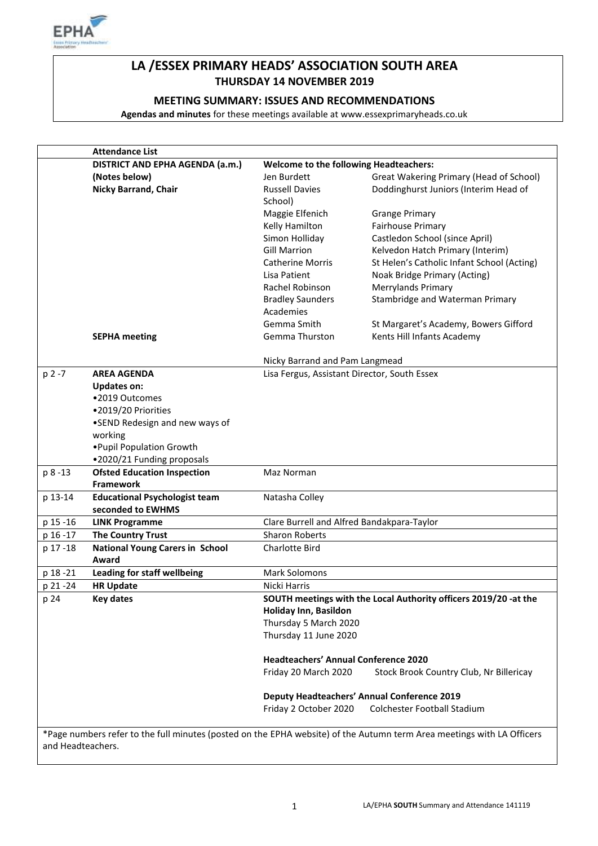

# **LA /ESSEX PRIMARY HEADS' ASSOCIATION SOUTH AREA THURSDAY 14 NOVEMBER 2019**

# **MEETING SUMMARY: ISSUES AND RECOMMENDATIONS**

**Agendas and minutes** for these meetings available at www.essexprimaryheads.co.uk

|                   | <b>Attendance List</b>                 |                                                                  |                                                                                                                        |  |
|-------------------|----------------------------------------|------------------------------------------------------------------|------------------------------------------------------------------------------------------------------------------------|--|
|                   | DISTRICT AND EPHA AGENDA (a.m.)        | <b>Welcome to the following Headteachers:</b>                    |                                                                                                                        |  |
|                   | (Notes below)                          | Jen Burdett                                                      | Great Wakering Primary (Head of School)                                                                                |  |
|                   | Nicky Barrand, Chair                   | <b>Russell Davies</b><br>School)                                 | Doddinghurst Juniors (Interim Head of                                                                                  |  |
|                   |                                        | Maggie Elfenich                                                  | <b>Grange Primary</b>                                                                                                  |  |
|                   |                                        | Kelly Hamilton                                                   | Fairhouse Primary                                                                                                      |  |
|                   |                                        | Simon Holliday                                                   | Castledon School (since April)                                                                                         |  |
|                   |                                        | <b>Gill Marrion</b>                                              | Kelvedon Hatch Primary (Interim)                                                                                       |  |
|                   |                                        | <b>Catherine Morris</b>                                          | St Helen's Catholic Infant School (Acting)                                                                             |  |
|                   |                                        | Lisa Patient                                                     | Noak Bridge Primary (Acting)                                                                                           |  |
|                   |                                        | Rachel Robinson                                                  | Merrylands Primary                                                                                                     |  |
|                   |                                        | <b>Bradley Saunders</b>                                          | Stambridge and Waterman Primary                                                                                        |  |
|                   |                                        | Academies                                                        |                                                                                                                        |  |
|                   |                                        | Gemma Smith                                                      | St Margaret's Academy, Bowers Gifford                                                                                  |  |
|                   | <b>SEPHA meeting</b>                   | Gemma Thurston                                                   | Kents Hill Infants Academy                                                                                             |  |
|                   |                                        |                                                                  |                                                                                                                        |  |
|                   |                                        | Nicky Barrand and Pam Langmead                                   |                                                                                                                        |  |
| p 2 -7            | <b>AREA AGENDA</b>                     | Lisa Fergus, Assistant Director, South Essex                     |                                                                                                                        |  |
|                   | <b>Updates on:</b>                     |                                                                  |                                                                                                                        |  |
|                   | •2019 Outcomes                         |                                                                  |                                                                                                                        |  |
|                   | •2019/20 Priorities                    |                                                                  |                                                                                                                        |  |
|                   | •SEND Redesign and new ways of         |                                                                  |                                                                                                                        |  |
|                   | working                                |                                                                  |                                                                                                                        |  |
|                   | . Pupil Population Growth              |                                                                  |                                                                                                                        |  |
|                   | .2020/21 Funding proposals             |                                                                  |                                                                                                                        |  |
| p 8-13            | <b>Ofsted Education Inspection</b>     | Maz Norman                                                       |                                                                                                                        |  |
|                   | <b>Framework</b>                       |                                                                  |                                                                                                                        |  |
| p 13-14           | <b>Educational Psychologist team</b>   | Natasha Colley                                                   |                                                                                                                        |  |
|                   | seconded to EWHMS                      |                                                                  |                                                                                                                        |  |
| p 15 - 16         | <b>LINK Programme</b>                  | Clare Burrell and Alfred Bandakpara-Taylor                       |                                                                                                                        |  |
| p 16 - 17         | <b>The Country Trust</b>               | <b>Sharon Roberts</b>                                            |                                                                                                                        |  |
| p 17-18           | <b>National Young Carers in School</b> | <b>Charlotte Bird</b>                                            |                                                                                                                        |  |
|                   | Award                                  |                                                                  |                                                                                                                        |  |
| p 18 - 21         | Leading for staff wellbeing            | <b>Mark Solomons</b>                                             |                                                                                                                        |  |
| p 21 - 24         | <b>HR Update</b>                       | Nicki Harris                                                     |                                                                                                                        |  |
| p 24              | <b>Key dates</b>                       | SOUTH meetings with the Local Authority officers 2019/20 -at the |                                                                                                                        |  |
|                   |                                        | Holiday Inn, Basildon                                            |                                                                                                                        |  |
|                   |                                        | Thursday 5 March 2020                                            |                                                                                                                        |  |
|                   |                                        | Thursday 11 June 2020                                            |                                                                                                                        |  |
|                   |                                        | <b>Headteachers' Annual Conference 2020</b>                      |                                                                                                                        |  |
|                   |                                        | Friday 20 March 2020                                             | Stock Brook Country Club, Nr Billericay                                                                                |  |
|                   |                                        | <b>Deputy Headteachers' Annual Conference 2019</b>               |                                                                                                                        |  |
|                   |                                        | Friday 2 October 2020                                            | <b>Colchester Football Stadium</b>                                                                                     |  |
|                   |                                        |                                                                  |                                                                                                                        |  |
|                   |                                        |                                                                  | *Page numbers refer to the full minutes (posted on the EPHA website) of the Autumn term Area meetings with LA Officers |  |
| and Headteachers. |                                        |                                                                  |                                                                                                                        |  |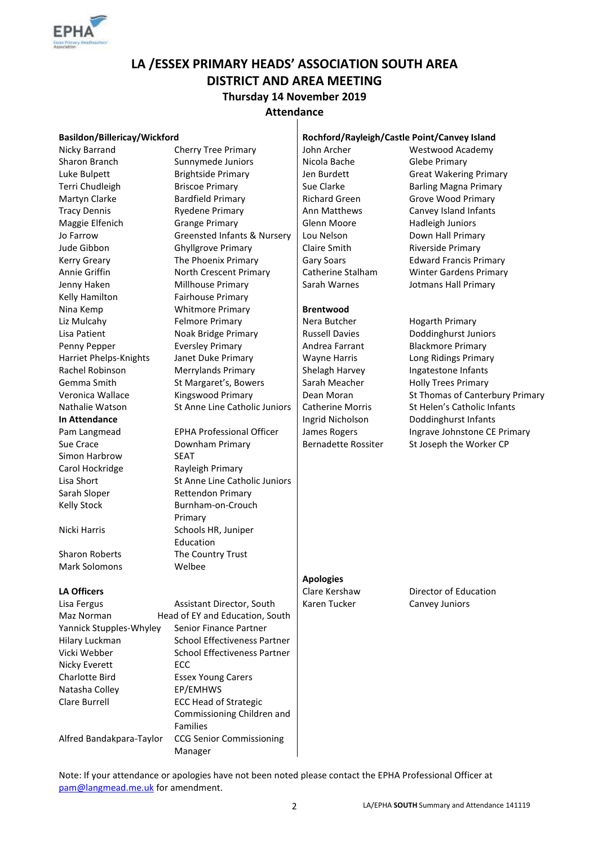

# **LA /ESSEX PRIMARY HEADS' ASSOCIATION SOUTH AREA DISTRICT AND AREA MEETING Thursday 14 November 2019**

#### **Attendance**  $\mathbf{I}$

| Basildon/Billericay/Wickford                  |                                     | Rochford/Rayleigh/Castle Point/Canvey Island |                                 |  |
|-----------------------------------------------|-------------------------------------|----------------------------------------------|---------------------------------|--|
| Nicky Barrand                                 | <b>Cherry Tree Primary</b>          | John Archer                                  | Westwood Academy                |  |
| Sharon Branch                                 | Sunnymede Juniors                   | Nicola Bache                                 | <b>Glebe Primary</b>            |  |
| Luke Bulpett                                  | <b>Brightside Primary</b>           | Jen Burdett                                  | <b>Great Wakering Primary</b>   |  |
| Terri Chudleigh                               | <b>Briscoe Primary</b>              | Sue Clarke                                   | <b>Barling Magna Primary</b>    |  |
| Martyn Clarke                                 | <b>Bardfield Primary</b>            | <b>Richard Green</b>                         | <b>Grove Wood Primary</b>       |  |
| <b>Tracy Dennis</b>                           | <b>Ryedene Primary</b>              | Ann Matthews                                 | Canvey Island Infants           |  |
| Maggie Elfenich                               | <b>Grange Primary</b>               | Glenn Moore                                  | <b>Hadleigh Juniors</b>         |  |
| Jo Farrow                                     | Greensted Infants & Nursery         | Lou Nelson                                   | Down Hall Primary               |  |
| Jude Gibbon                                   | <b>Ghyllgrove Primary</b>           | Claire Smith                                 | Riverside Primary               |  |
| <b>Kerry Greary</b>                           | The Phoenix Primary                 | <b>Gary Soars</b>                            | <b>Edward Francis Primary</b>   |  |
| Annie Griffin                                 | North Crescent Primary              | Catherine Stalham                            | <b>Winter Gardens Primary</b>   |  |
| Jenny Haken                                   | Millhouse Primary                   | Sarah Warnes                                 | Jotmans Hall Primary            |  |
| Kelly Hamilton                                | Fairhouse Primary                   |                                              |                                 |  |
| Nina Kemp                                     | <b>Whitmore Primary</b>             | <b>Brentwood</b>                             |                                 |  |
| Liz Mulcahy                                   | <b>Felmore Primary</b>              | Nera Butcher                                 | <b>Hogarth Primary</b>          |  |
| Lisa Patient                                  | Noak Bridge Primary                 | <b>Russell Davies</b>                        | Doddinghurst Juniors            |  |
| Penny Pepper                                  | <b>Eversley Primary</b>             | Andrea Farrant                               | <b>Blackmore Primary</b>        |  |
| Harriet Phelps-Knights                        | Janet Duke Primary                  | <b>Wayne Harris</b>                          | Long Ridings Primary            |  |
| Rachel Robinson                               | Merrylands Primary                  | Shelagh Harvey                               | Ingatestone Infants             |  |
| Gemma Smith                                   | St Margaret's, Bowers               | Sarah Meacher                                | <b>Holly Trees Primary</b>      |  |
| Veronica Wallace                              | Kingswood Primary                   | Dean Moran                                   | St Thomas of Canterbury Primary |  |
| Nathalie Watson                               | St Anne Line Catholic Juniors       | <b>Catherine Morris</b>                      | St Helen's Catholic Infants     |  |
| In Attendance                                 |                                     | Ingrid Nicholson                             | Doddinghurst Infants            |  |
| Pam Langmead                                  | <b>EPHA Professional Officer</b>    | James Rogers                                 | Ingrave Johnstone CE Primary    |  |
| Sue Crace                                     | Downham Primary                     | <b>Bernadette Rossiter</b>                   | St Joseph the Worker CP         |  |
| Simon Harbrow                                 | <b>SEAT</b>                         |                                              |                                 |  |
| Carol Hockridge                               | Rayleigh Primary                    |                                              |                                 |  |
| Lisa Short                                    | St Anne Line Catholic Juniors       |                                              |                                 |  |
| Sarah Sloper                                  | <b>Rettendon Primary</b>            |                                              |                                 |  |
| <b>Kelly Stock</b>                            | Burnham-on-Crouch                   |                                              |                                 |  |
|                                               | Primary                             |                                              |                                 |  |
| Nicki Harris                                  | Schools HR, Juniper                 |                                              |                                 |  |
|                                               | Education                           |                                              |                                 |  |
| <b>Sharon Roberts</b>                         | The Country Trust                   |                                              |                                 |  |
| <b>Mark Solomons</b>                          | Welbee                              |                                              |                                 |  |
|                                               |                                     | <b>Apologies</b>                             |                                 |  |
| <b>LA Officers</b>                            |                                     | Clare Kershaw                                | Director of Education           |  |
| Lisa Fergus                                   | Assistant Director, South           | Karen Tucker                                 | Canvey Juniors                  |  |
| Maz Norman                                    | Head of EY and Education, South     |                                              |                                 |  |
| Yannick Stupples-Whyley                       | Senior Finance Partner              |                                              |                                 |  |
| Hilary Luckman                                | <b>School Effectiveness Partner</b> |                                              |                                 |  |
| Vicki Webber                                  | School Effectiveness Partner        |                                              |                                 |  |
| Nicky Everett                                 | ECC                                 |                                              |                                 |  |
| <b>Charlotte Bird</b>                         | <b>Essex Young Carers</b>           |                                              |                                 |  |
| Natasha Colley                                | EP/EMHWS                            |                                              |                                 |  |
| Clare Burrell<br><b>ECC Head of Strategic</b> |                                     |                                              |                                 |  |
|                                               | Commissioning Children and          |                                              |                                 |  |
|                                               | <b>Families</b>                     |                                              |                                 |  |
| Alfred Bandakpara-Taylor                      | <b>CCG Senior Commissioning</b>     |                                              |                                 |  |

Note: If your attendance or apologies have not been noted please contact the EPHA Professional Officer at [pam@langmead.me.uk](mailto:pam@langmead.me.uk) for amendment.

Manager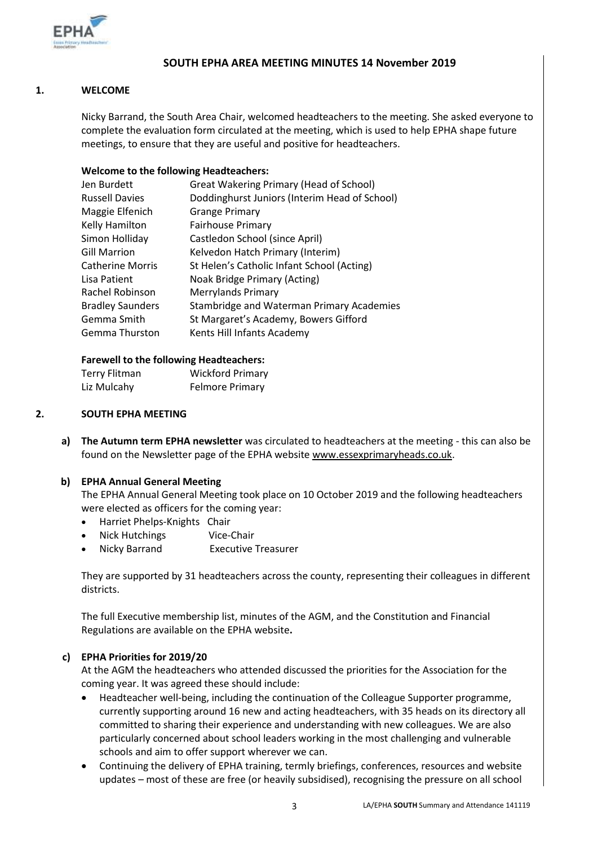

# **SOUTH EPHA AREA MEETING MINUTES 14 November 2019**

# **1. WELCOME**

Nicky Barrand, the South Area Chair, welcomed headteachers to the meeting. She asked everyone to complete the evaluation form circulated at the meeting, which is used to help EPHA shape future meetings, to ensure that they are useful and positive for headteachers.

# **Welcome to the following Headteachers:**

| Great Wakering Primary (Head of School)       |  |
|-----------------------------------------------|--|
| Doddinghurst Juniors (Interim Head of School) |  |
| <b>Grange Primary</b>                         |  |
| Fairhouse Primary                             |  |
| Castledon School (since April)                |  |
| Kelvedon Hatch Primary (Interim)              |  |
| St Helen's Catholic Infant School (Acting)    |  |
| Noak Bridge Primary (Acting)                  |  |
| <b>Merrylands Primary</b>                     |  |
| Stambridge and Waterman Primary Academies     |  |
| St Margaret's Academy, Bowers Gifford         |  |
| Kents Hill Infants Academy                    |  |
|                                               |  |

### **Farewell to the following Headteachers:**

| <b>Terry Flitman</b> | <b>Wickford Primary</b> |
|----------------------|-------------------------|
| Liz Mulcahy          | <b>Felmore Primary</b>  |

#### **2. SOUTH EPHA MEETING**

**a) The Autumn term EPHA newsletter** was circulated to headteachers at the meeting - this can also be found on the Newsletter page of the EPHA website [www.essexprimaryheads.co.uk.](http://www.essexprimaryheads.co.uk/)

### **b) EPHA Annual General Meeting**

The EPHA Annual General Meeting took place on 10 October 2019 and the following headteachers were elected as officers for the coming year:

- Harriet Phelps-Knights Chair
- Nick Hutchings Vice-Chair
- Nicky Barrand Executive Treasurer

They are supported by 31 headteachers across the county, representing their colleagues in different districts.

The full Executive membership list, minutes of the AGM, and the Constitution and Financial Regulations are available on the EPHA website**.** 

### **c) EPHA Priorities for 2019/20**

At the AGM the headteachers who attended discussed the priorities for the Association for the coming year. It was agreed these should include:

- Headteacher well-being, including the continuation of the Colleague Supporter programme, currently supporting around 16 new and acting headteachers, with 35 heads on its directory all committed to sharing their experience and understanding with new colleagues. We are also particularly concerned about school leaders working in the most challenging and vulnerable schools and aim to offer support wherever we can.
- Continuing the delivery of EPHA training, termly briefings, conferences, resources and website updates – most of these are free (or heavily subsidised), recognising the pressure on all school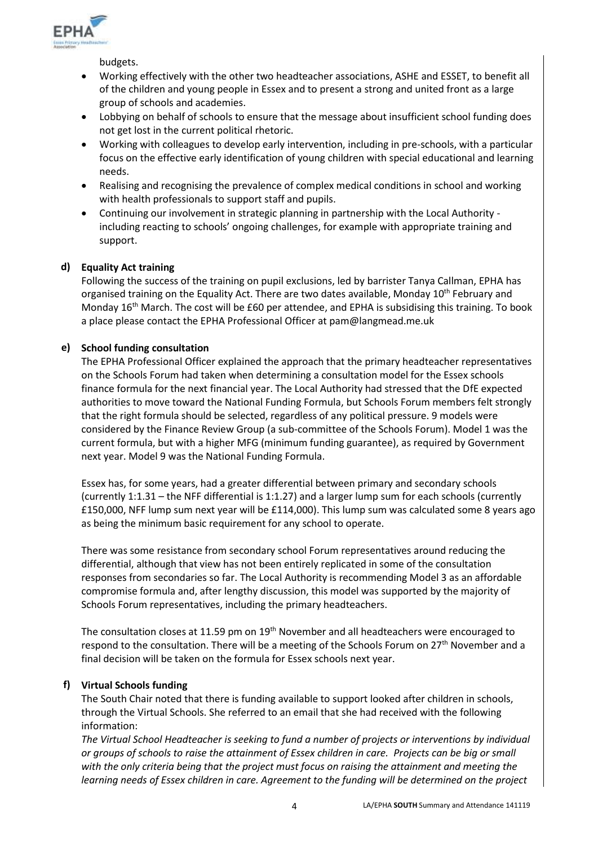

budgets.

- Working effectively with the other two headteacher associations, ASHE and ESSET, to benefit all of the children and young people in Essex and to present a strong and united front as a large group of schools and academies.
- Lobbying on behalf of schools to ensure that the message about insufficient school funding does not get lost in the current political rhetoric.
- Working with colleagues to develop early intervention, including in pre-schools, with a particular focus on the effective early identification of young children with special educational and learning needs.
- Realising and recognising the prevalence of complex medical conditions in school and working with health professionals to support staff and pupils.
- Continuing our involvement in strategic planning in partnership with the Local Authority including reacting to schools' ongoing challenges, for example with appropriate training and support.

# **d) Equality Act training**

Following the success of the training on pupil exclusions, led by barrister Tanya Callman, EPHA has organised training on the Equality Act. There are two dates available, Monday 10<sup>th</sup> February and Monday 16<sup>th</sup> March. The cost will be £60 per attendee, and EPHA is subsidising this training. To book a place please contact the EPHA Professional Officer at pam@langmead.me.uk

# **e) School funding consultation**

The EPHA Professional Officer explained the approach that the primary headteacher representatives on the Schools Forum had taken when determining a consultation model for the Essex schools finance formula for the next financial year. The Local Authority had stressed that the DfE expected authorities to move toward the National Funding Formula, but Schools Forum members felt strongly that the right formula should be selected, regardless of any political pressure. 9 models were considered by the Finance Review Group (a sub-committee of the Schools Forum). Model 1 was the current formula, but with a higher MFG (minimum funding guarantee), as required by Government next year. Model 9 was the National Funding Formula.

Essex has, for some years, had a greater differential between primary and secondary schools (currently 1:1.31 – the NFF differential is 1:1.27) and a larger lump sum for each schools (currently £150,000, NFF lump sum next year will be £114,000). This lump sum was calculated some 8 years ago as being the minimum basic requirement for any school to operate.

There was some resistance from secondary school Forum representatives around reducing the differential, although that view has not been entirely replicated in some of the consultation responses from secondaries so far. The Local Authority is recommending Model 3 as an affordable compromise formula and, after lengthy discussion, this model was supported by the majority of Schools Forum representatives, including the primary headteachers.

The consultation closes at 11.59 pm on 19<sup>th</sup> November and all headteachers were encouraged to respond to the consultation. There will be a meeting of the Schools Forum on 27<sup>th</sup> November and a final decision will be taken on the formula for Essex schools next year.

# **f) Virtual Schools funding**

The South Chair noted that there is funding available to support looked after children in schools, through the Virtual Schools. She referred to an email that she had received with the following information:

*The Virtual School Headteacher is seeking to fund a number of projects or interventions by individual or groups of schools to raise the attainment of Essex children in care. Projects can be big or small with the only criteria being that the project must focus on raising the attainment and meeting the learning needs of Essex children in care. Agreement to the funding will be determined on the project*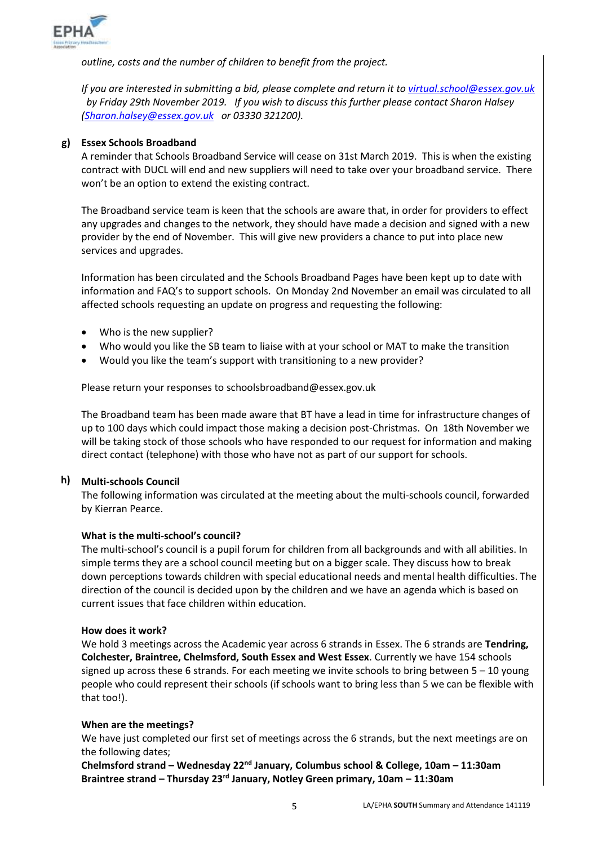

*outline, costs and the number of children to benefit from the project.*

*If you are interested in submitting a bid, please complete and return it t[o virtual.school@essex.gov.uk](mailto:virtual.school@essex.gov.uk) by Friday 29th November 2019. If you wish to discuss this further please contact Sharon Halsey [\(Sharon.halsey@essex.gov.uk](mailto:Sharon.halsey@essex.gov.uk) or 03330 321200).*

# **g) Essex Schools Broadband**

A reminder that Schools Broadband Service will cease on 31st March 2019. This is when the existing contract with DUCL will end and new suppliers will need to take over your broadband service. There won't be an option to extend the existing contract.

The Broadband service team is keen that the schools are aware that, in order for providers to effect any upgrades and changes to the network, they should have made a decision and signed with a new provider by the end of November. This will give new providers a chance to put into place new services and upgrades.

Information has been circulated and the [Schools Broadband Pages](https://eur02.safelinks.protection.outlook.com/?url=https%3A%2F%2Fschools.essex.gov.uk%2Fadmin%2FBroadband%2FPages%2FBroadband.aspx&data=02%7C01%7C%7C75458fae09d34e13cdcf08d763913b54%7Ca8b4324f155c4215a0f17ed8cc9a992f%7C0%7C0%7C637087348365431782&sdata=YSYlUWeu5nc4TD%2BKZPjR%2Bzzm5wj0j26qppUaPNjFOlU%3D&reserved=0) have been kept up to date with information and FAQ's to support schools. On Monday 2nd November an email was circulated to all affected schools requesting an update on progress and requesting the following:

- Who is the new supplier?
- Who would you like the SB team to liaise with at your school or MAT to make the transition
- Would you like the team's support with transitioning to a new provider?

Please return your responses to [schoolsbroadband@essex.gov.uk](mailto:schoolsbroadband@essex.gov.uk)

The Broadband team has been made aware that BT have a lead in time for infrastructure changes of up to 100 days which could impact those making a decision post-Christmas. On 18th November we will be taking stock of those schools who have responded to our request for information and making direct contact (telephone) with those who have not as part of our support for schools.

# **h) Multi-schools Council**

The following information was circulated at the meeting about the multi-schools council, forwarded by Kierran Pearce.

### **What is the multi-school's council?**

The multi-school's council is a pupil forum for children from all backgrounds and with all abilities. In simple terms they are a school council meeting but on a bigger scale. They discuss how to break down perceptions towards children with special educational needs and mental health difficulties. The direction of the council is decided upon by the children and we have an agenda which is based on current issues that face children within education.

### **How does it work?**

We hold 3 meetings across the Academic year across 6 strands in Essex. The 6 strands are **Tendring, Colchester, Braintree, Chelmsford, South Essex and West Essex**. Currently we have 154 schools signed up across these 6 strands. For each meeting we invite schools to bring between  $5 - 10$  young people who could represent their schools (if schools want to bring less than 5 we can be flexible with that too!).

### **When are the meetings?**

We have just completed our first set of meetings across the 6 strands, but the next meetings are on the following dates;

**Chelmsford strand – Wednesday 22nd January, Columbus school & College, 10am – 11:30am Braintree strand – Thursday 23rd January, Notley Green primary, 10am – 11:30am**